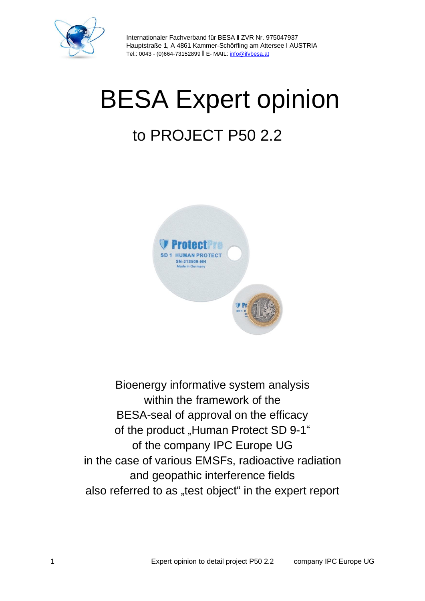

# BESA Expert opinion

# to PROJECT P50 2.2



Bioenergy informative system analysis within the framework of the BESA-seal of approval on the efficacy of the product "Human Protect SD 9-1" of the company IPC Europe UG in the case of various EMSFs, radioactive radiation and geopathic interference fields also referred to as "test object" in the expert report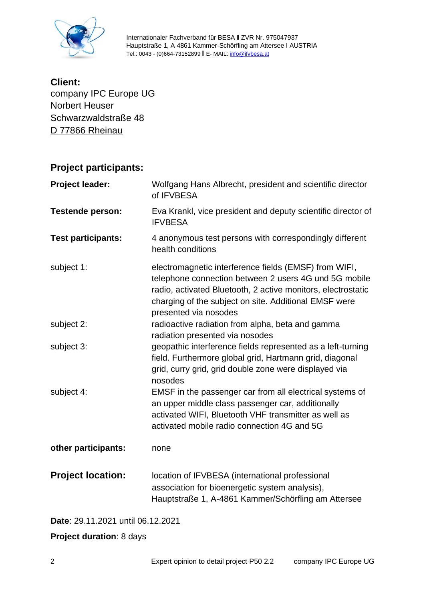

**Client:** company IPC Europe UG Norbert Heuser Schwarzwaldstraße 48 D 77866 Rheinau

#### **Project participants:**

| <b>Project leader:</b>    | Wolfgang Hans Albrecht, president and scientific director<br>of IFVBESA                                                                                                                                                                                          |  |
|---------------------------|------------------------------------------------------------------------------------------------------------------------------------------------------------------------------------------------------------------------------------------------------------------|--|
| <b>Testende person:</b>   | Eva Krankl, vice president and deputy scientific director of<br><b>IFVBESA</b>                                                                                                                                                                                   |  |
| <b>Test participants:</b> | 4 anonymous test persons with correspondingly different<br>health conditions                                                                                                                                                                                     |  |
| subject 1:                | electromagnetic interference fields (EMSF) from WIFI,<br>telephone connection between 2 users 4G und 5G mobile<br>radio, activated Bluetooth, 2 active monitors, electrostatic<br>charging of the subject on site. Additional EMSF were<br>presented via nosodes |  |
| subject 2:                | radioactive radiation from alpha, beta and gamma<br>radiation presented via nosodes                                                                                                                                                                              |  |
| subject 3:                | geopathic interference fields represented as a left-turning<br>field. Furthermore global grid, Hartmann grid, diagonal<br>grid, curry grid, grid double zone were displayed via<br>nosodes                                                                       |  |
| subject 4:                | EMSF in the passenger car from all electrical systems of<br>an upper middle class passenger car, additionally<br>activated WIFI, Bluetooth VHF transmitter as well as<br>activated mobile radio connection 4G and 5G                                             |  |
| other participants:       | none                                                                                                                                                                                                                                                             |  |
| <b>Project location:</b>  | location of IFVBESA (international professional<br>association for bioenergetic system analysis),<br>Hauptstraße 1, A-4861 Kammer/Schörfling am Attersee                                                                                                         |  |
|                           |                                                                                                                                                                                                                                                                  |  |

**Date**: 29.11.2021 until 06.12.2021

**Project duration**: 8 days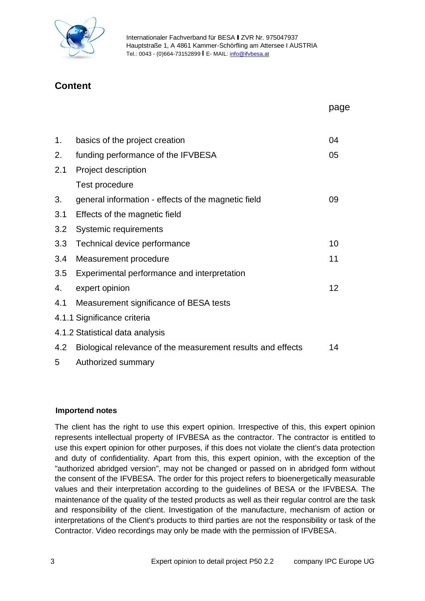

#### **Content**

|     |                                                             | page |
|-----|-------------------------------------------------------------|------|
|     |                                                             |      |
| 1.  | basics of the project creation                              | 04   |
| 2.  | funding performance of the IFVBESA                          | 05   |
| 2.1 | Project description                                         |      |
|     | Test procedure                                              |      |
| 3.  | general information - effects of the magnetic field         | 09   |
| 3.1 | Effects of the magnetic field                               |      |
| 3.2 | Systemic requirements                                       |      |
| 3.3 | Technical device performance                                | 10   |
| 3.4 | Measurement procedure                                       | 11   |
| 3.5 | Experimental performance and interpretation                 |      |
| 4.  | expert opinion                                              | 12   |
| 4.1 | Measurement significance of BESA tests                      |      |
|     | 4.1.1 Significance criteria                                 |      |
|     | 4.1.2 Statistical data analysis                             |      |
| 4.2 | Biological relevance of the measurement results and effects | 14   |
| 5   | Authorized summary                                          |      |

#### **Importend notes**

The client has the right to use this expert opinion. Irrespective of this, this expert opinion represents intellectual property of IFVBESA as the contractor. The contractor is entitled to use this expert opinion for other purposes, if this does not violate the client's data protection and duty of confidentiality. Apart from this, this expert opinion, with the exception of the "authorized abridged version", may not be changed or passed on in abridged form without the consent of the IFVBESA. The order for this project refers to bioenergetically measurable values and their interpretation according to the guidelines of BESA or the IFVBESA. The maintenance of the quality of the tested products as well as their regular control are the task and responsibility of the client. Investigation of the manufacture, mechanism of action or interpretations of the Client's products to third parties are not the responsibility or task of the Contractor. Video recordings may only be made with the permission of IFVBESA.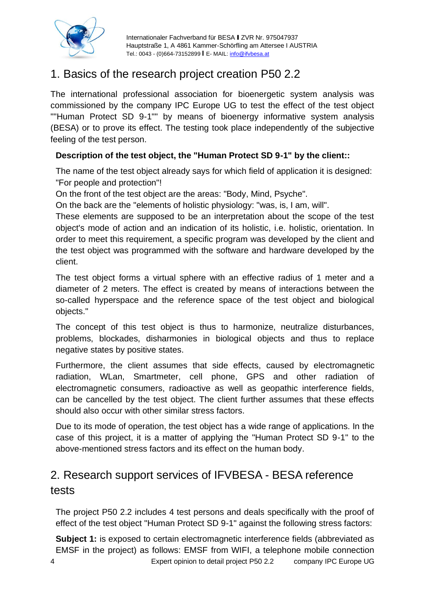

# 1. Basics of the research project creation P50 2.2

The international professional association for bioenergetic system analysis was commissioned by the company IPC Europe UG to test the effect of the test object ""Human Protect SD 9-1"" by means of bioenergy informative system analysis (BESA) or to prove its effect. The testing took place independently of the subjective feeling of the test person.

#### **Description of the test object, the "Human Protect SD 9-1" by the client::**

The name of the test object already says for which field of application it is designed: "For people and protection"!

On the front of the test object are the areas: "Body, Mind, Psyche".

On the back are the "elements of holistic physiology: "was, is, I am, will".

These elements are supposed to be an interpretation about the scope of the test object's mode of action and an indication of its holistic, i.e. holistic, orientation. In order to meet this requirement, a specific program was developed by the client and the test object was programmed with the software and hardware developed by the client.

The test object forms a virtual sphere with an effective radius of 1 meter and a diameter of 2 meters. The effect is created by means of interactions between the so-called hyperspace and the reference space of the test object and biological objects."

The concept of this test object is thus to harmonize, neutralize disturbances, problems, blockades, disharmonies in biological objects and thus to replace negative states by positive states.

Furthermore, the client assumes that side effects, caused by electromagnetic radiation, WLan, Smartmeter, cell phone, GPS and other radiation of electromagnetic consumers, radioactive as well as geopathic interference fields, can be cancelled by the test object. The client further assumes that these effects should also occur with other similar stress factors.

Due to its mode of operation, the test object has a wide range of applications. In the case of this project, it is a matter of applying the "Human Protect SD 9-1" to the above-mentioned stress factors and its effect on the human body.

# 2. Research support services of IFVBESA - BESA reference tests

The project P50 2.2 includes 4 test persons and deals specifically with the proof of effect of the test object "Human Protect SD 9-1" against the following stress factors:

4 Expert opinion to detail project P50 2.2 company IPC Europe UG **Subject 1:** is exposed to certain electromagnetic interference fields (abbreviated as EMSF in the project) as follows: EMSF from WIFI, a telephone mobile connection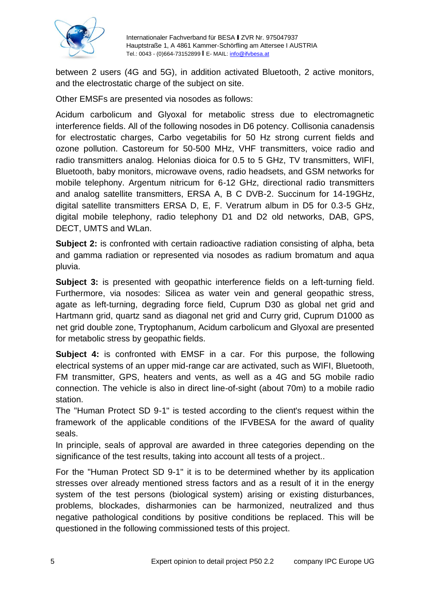

between 2 users (4G and 5G), in addition activated Bluetooth, 2 active monitors, and the electrostatic charge of the subject on site.

Other EMSFs are presented via nosodes as follows:

Acidum carbolicum and Glyoxal for metabolic stress due to electromagnetic interference fields. All of the following nosodes in D6 potency. Collisonia canadensis for electrostatic charges, Carbo vegetabilis for 50 Hz strong current fields and ozone pollution. Castoreum for 50-500 MHz, VHF transmitters, voice radio and radio transmitters analog. Helonias dioica for 0.5 to 5 GHz, TV transmitters, WIFI, Bluetooth, baby monitors, microwave ovens, radio headsets, and GSM networks for mobile telephony. Argentum nitricum for 6-12 GHz, directional radio transmitters and analog satellite transmitters, ERSA A, B C DVB-2. Succinum for 14-19GHz, digital satellite transmitters ERSA D, E, F. Veratrum album in D5 for 0.3-5 GHz, digital mobile telephony, radio telephony D1 and D2 old networks, DAB, GPS, DECT, UMTS and WLan.

**Subject 2:** is confronted with certain radioactive radiation consisting of alpha, beta and gamma radiation or represented via nosodes as radium bromatum and aqua pluvia.

**Subject 3:** is presented with geopathic interference fields on a left-turning field. Furthermore, via nosodes: Silicea as water vein and general geopathic stress, agate as left-turning, degrading force field, Cuprum D30 as global net grid and Hartmann grid, quartz sand as diagonal net grid and Curry grid, Cuprum D1000 as net grid double zone, Tryptophanum, Acidum carbolicum and Glyoxal are presented for metabolic stress by geopathic fields.

**Subject 4:** is confronted with EMSF in a car. For this purpose, the following electrical systems of an upper mid-range car are activated, such as WIFI, Bluetooth, FM transmitter, GPS, heaters and vents, as well as a 4G and 5G mobile radio connection. The vehicle is also in direct line-of-sight (about 70m) to a mobile radio station.

The "Human Protect SD 9-1" is tested according to the client's request within the framework of the applicable conditions of the IFVBESA for the award of quality seals.

In principle, seals of approval are awarded in three categories depending on the significance of the test results, taking into account all tests of a project..

For the "Human Protect SD 9-1" it is to be determined whether by its application stresses over already mentioned stress factors and as a result of it in the energy system of the test persons (biological system) arising or existing disturbances, problems, blockades, disharmonies can be harmonized, neutralized and thus negative pathological conditions by positive conditions be replaced. This will be questioned in the following commissioned tests of this project.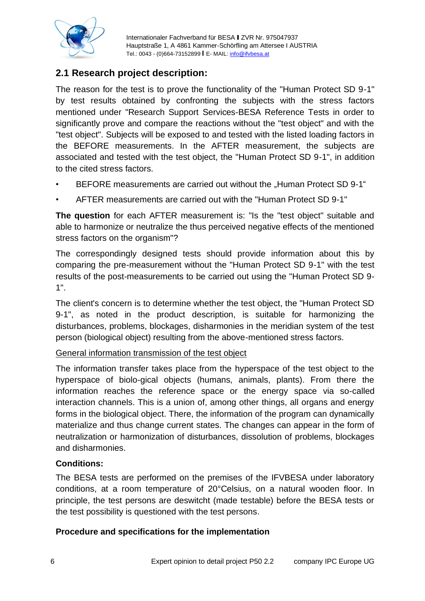

#### **2.1 Research project description:**

The reason for the test is to prove the functionality of the "Human Protect SD 9-1" by test results obtained by confronting the subjects with the stress factors mentioned under "Research Support Services-BESA Reference Tests in order to significantly prove and compare the reactions without the "test object" and with the "test object". Subjects will be exposed to and tested with the listed loading factors in the BEFORE measurements. In the AFTER measurement, the subjects are associated and tested with the test object, the "Human Protect SD 9-1", in addition to the cited stress factors.

- BEFORE measurements are carried out without the "Human Protect SD 9-1"
- AFTER measurements are carried out with the "Human Protect SD 9-1"

**The question** for each AFTER measurement is: "Is the "test object" suitable and able to harmonize or neutralize the thus perceived negative effects of the mentioned stress factors on the organism"?

The correspondingly designed tests should provide information about this by comparing the pre-measurement without the "Human Protect SD 9-1" with the test results of the post-measurements to be carried out using the "Human Protect SD 9- 1".

The client's concern is to determine whether the test object, the "Human Protect SD 9-1", as noted in the product description, is suitable for harmonizing the disturbances, problems, blockages, disharmonies in the meridian system of the test person (biological object) resulting from the above-mentioned stress factors.

#### General information transmission of the test object

The information transfer takes place from the hyperspace of the test object to the hyperspace of biolo-gical objects (humans, animals, plants). From there the information reaches the reference space or the energy space via so-called interaction channels. This is a union of, among other things, all organs and energy forms in the biological object. There, the information of the program can dynamically materialize and thus change current states. The changes can appear in the form of neutralization or harmonization of disturbances, dissolution of problems, blockages and disharmonies.

#### **Conditions:**

The BESA tests are performed on the premises of the IFVBESA under laboratory conditions, at a room temperature of 20°Celsius, on a natural wooden floor. In principle, the test persons are deswitcht (made testable) before the BESA tests or the test possibility is questioned with the test persons.

#### **Procedure and specifications for the implementation**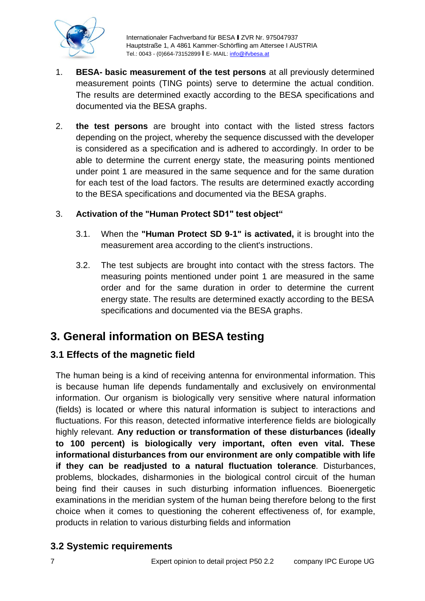

- 1. **BESA- basic measurement of the test persons** at all previously determined measurement points (TING points) serve to determine the actual condition. The results are determined exactly according to the BESA specifications and documented via the BESA graphs.
- 2. **the test persons** are brought into contact with the listed stress factors depending on the project, whereby the sequence discussed with the developer is considered as a specification and is adhered to accordingly. In order to be able to determine the current energy state, the measuring points mentioned under point 1 are measured in the same sequence and for the same duration for each test of the load factors. The results are determined exactly according to the BESA specifications and documented via the BESA graphs.

#### 3. **Activation of the "Human Protect SD1" test object"**

- 3.1. When the **"Human Protect SD 9-1" is activated,** it is brought into the measurement area according to the client's instructions.
- 3.2. The test subjects are brought into contact with the stress factors. The measuring points mentioned under point 1 are measured in the same order and for the same duration in order to determine the current energy state. The results are determined exactly according to the BESA specifications and documented via the BESA graphs.

# **3. General information on BESA testing**

#### **3.1 Effects of the magnetic field**

The human being is a kind of receiving antenna for environmental information. This is because human life depends fundamentally and exclusively on environmental information. Our organism is biologically very sensitive where natural information (fields) is located or where this natural information is subject to interactions and fluctuations. For this reason, detected informative interference fields are biologically highly relevant. **Any reduction or transformation of these disturbances (ideally to 100 percent) is biologically very important, often even vital. These informational disturbances from our environment are only compatible with life if they can be readjusted to a natural fluctuation tolerance**. Disturbances, problems, blockades, disharmonies in the biological control circuit of the human being find their causes in such disturbing information influences. Bioenergetic examinations in the meridian system of the human being therefore belong to the first choice when it comes to questioning the coherent effectiveness of, for example, products in relation to various disturbing fields and information

#### **3.2 Systemic requirements**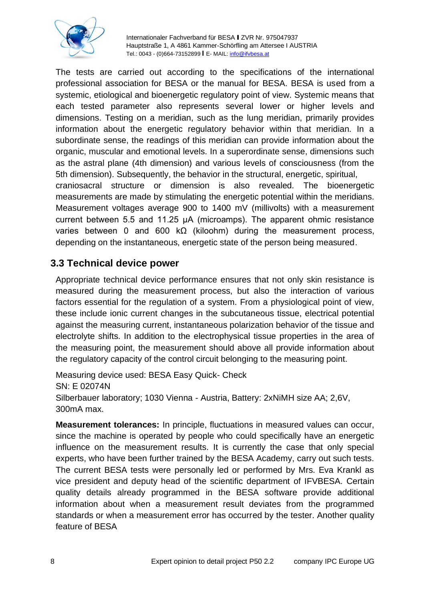

The tests are carried out according to the specifications of the international professional association for BESA or the manual for BESA. BESA is used from a systemic, etiological and bioenergetic regulatory point of view. Systemic means that each tested parameter also represents several lower or higher levels and dimensions. Testing on a meridian, such as the lung meridian, primarily provides information about the energetic regulatory behavior within that meridian. In a subordinate sense, the readings of this meridian can provide information about the organic, muscular and emotional levels. In a superordinate sense, dimensions such as the astral plane (4th dimension) and various levels of consciousness (from the 5th dimension). Subsequently, the behavior in the structural, energetic, spiritual, craniosacral structure or dimension is also revealed. The bioenergetic measurements are made by stimulating the energetic potential within the meridians. Measurement voltages average 900 to 1400 mV (millivolts) with a measurement current between 5.5 and 11.25 μA (microamps). The apparent ohmic resistance varies between 0 and 600 kΩ (kiloohm) during the measurement process, depending on the instantaneous, energetic state of the person being measured.

#### **3.3 Technical device power**

Appropriate technical device performance ensures that not only skin resistance is measured during the measurement process, but also the interaction of various factors essential for the regulation of a system. From a physiological point of view, these include ionic current changes in the subcutaneous tissue, electrical potential against the measuring current, instantaneous polarization behavior of the tissue and electrolyte shifts. In addition to the electrophysical tissue properties in the area of the measuring point, the measurement should above all provide information about the regulatory capacity of the control circuit belonging to the measuring point.

Measuring device used: BESA Easy Quick- Check SN: E 02074N Silberbauer laboratory; 1030 Vienna - Austria, Battery: 2xNiMH size AA; 2,6V, 300mA max.

**Measurement tolerances:** In principle, fluctuations in measured values can occur, since the machine is operated by people who could specifically have an energetic influence on the measurement results. It is currently the case that only special experts, who have been further trained by the BESA Academy, carry out such tests. The current BESA tests were personally led or performed by Mrs. Eva Krankl as vice president and deputy head of the scientific department of IFVBESA. Certain quality details already programmed in the BESA software provide additional information about when a measurement result deviates from the programmed standards or when a measurement error has occurred by the tester. Another quality feature of BESA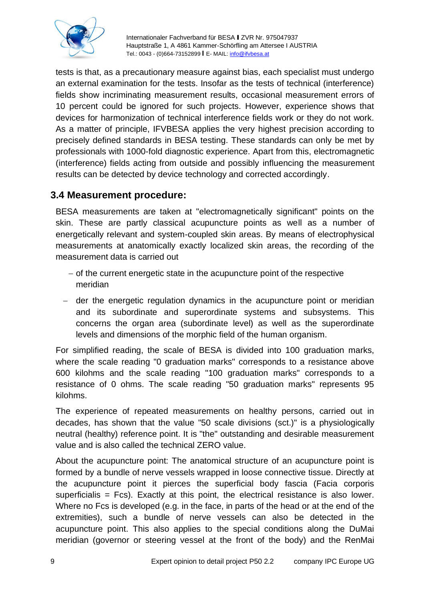

tests is that, as a precautionary measure against bias, each specialist must undergo an external examination for the tests. Insofar as the tests of technical (interference) fields show incriminating measurement results, occasional measurement errors of 10 percent could be ignored for such projects. However, experience shows that devices for harmonization of technical interference fields work or they do not work. As a matter of principle, IFVBESA applies the very highest precision according to precisely defined standards in BESA testing. These standards can only be met by professionals with 1000-fold diagnostic experience. Apart from this, electromagnetic (interference) fields acting from outside and possibly influencing the measurement results can be detected by device technology and corrected accordingly.

#### **3.4 Measurement procedure:**

BESA measurements are taken at "electromagnetically significant" points on the skin. These are partly classical acupuncture points as well as a number of energetically relevant and system-coupled skin areas. By means of electrophysical measurements at anatomically exactly localized skin areas, the recording of the measurement data is carried out

- − of the current energetic state in the acupuncture point of the respective meridian
- − der the energetic regulation dynamics in the acupuncture point or meridian and its subordinate and superordinate systems and subsystems. This concerns the organ area (subordinate level) as well as the superordinate levels and dimensions of the morphic field of the human organism.

For simplified reading, the scale of BESA is divided into 100 graduation marks, where the scale reading "0 graduation marks" corresponds to a resistance above 600 kilohms and the scale reading "100 graduation marks" corresponds to a resistance of 0 ohms. The scale reading "50 graduation marks" represents 95 kilohms.

The experience of repeated measurements on healthy persons, carried out in decades, has shown that the value "50 scale divisions (sct.)" is a physiologically neutral (healthy) reference point. It is "the" outstanding and desirable measurement value and is also called the technical ZERO value.

About the acupuncture point: The anatomical structure of an acupuncture point is formed by a bundle of nerve vessels wrapped in loose connective tissue. Directly at the acupuncture point it pierces the superficial body fascia (Facia corporis superficialis  $=$  Fcs). Exactly at this point, the electrical resistance is also lower. Where no Fcs is developed (e.g. in the face, in parts of the head or at the end of the extremities), such a bundle of nerve vessels can also be detected in the acupuncture point. This also applies to the special conditions along the DuMai meridian (governor or steering vessel at the front of the body) and the RenMai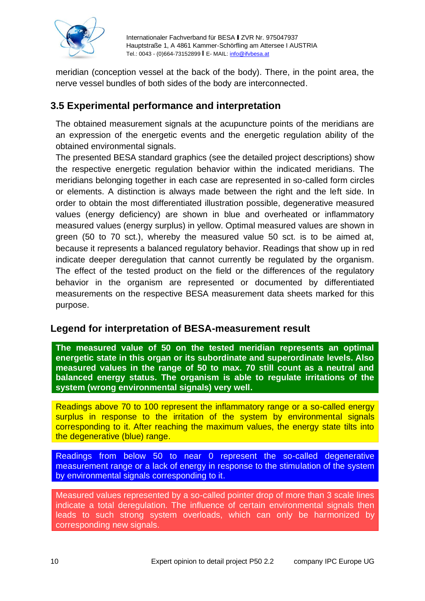

meridian (conception vessel at the back of the body). There, in the point area, the nerve vessel bundles of both sides of the body are interconnected.

#### **3.5 Experimental performance and interpretation**

The obtained measurement signals at the acupuncture points of the meridians are an expression of the energetic events and the energetic regulation ability of the obtained environmental signals.

The presented BESA standard graphics (see the detailed project descriptions) show the respective energetic regulation behavior within the indicated meridians. The meridians belonging together in each case are represented in so-called form circles or elements. A distinction is always made between the right and the left side. In order to obtain the most differentiated illustration possible, degenerative measured values (energy deficiency) are shown in blue and overheated or inflammatory measured values (energy surplus) in yellow. Optimal measured values are shown in green (50 to 70 sct.), whereby the measured value 50 sct. is to be aimed at, because it represents a balanced regulatory behavior. Readings that show up in red indicate deeper deregulation that cannot currently be regulated by the organism. The effect of the tested product on the field or the differences of the regulatory behavior in the organism are represented or documented by differentiated measurements on the respective BESA measurement data sheets marked for this purpose.

#### **Legend for interpretation of BESA-measurement result**

**The measured value of 50 on the tested meridian represents an optimal energetic state in this organ or its subordinate and superordinate levels. Also measured values in the range of 50 to max. 70 still count as a neutral and balanced energy status. The organism is able to regulate irritations of the system (wrong environmental signals) very well.**

Readings above 70 to 100 represent the inflammatory range or a so-called energy surplus in response to the irritation of the system by environmental signals corresponding to it. After reaching the maximum values, the energy state tilts into the degenerative (blue) range.

Readings from below 50 to near 0 represent the so-called degenerative measurement range or a lack of energy in response to the stimulation of the system by environmental signals corresponding to it.

Measured values represented by a so-called pointer drop of more than 3 scale lines indicate a total deregulation. The influence of certain environmental signals then leads to such strong system overloads, which can only be harmonized by corresponding new signals.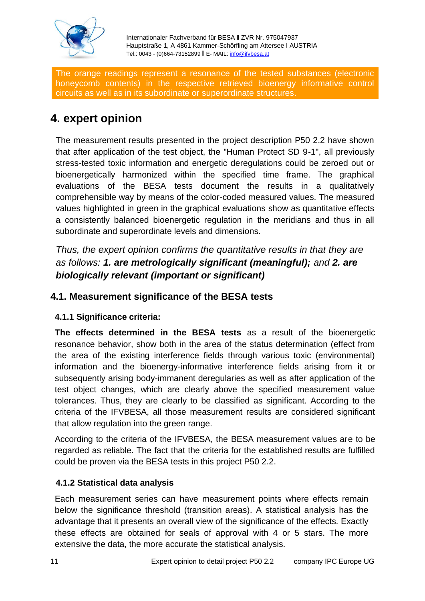

The orange readings represent a resonance of the tested substances (electronic honeycomb contents) in the respective retrieved bioenergy informative control circuits as well as in its subordinate or superordinate structures.

# **4. expert opinion**

The measurement results presented in the project description P50 2.2 have shown that after application of the test object, the "Human Protect SD 9-1", all previously stress-tested toxic information and energetic deregulations could be zeroed out or bioenergetically harmonized within the specified time frame. The graphical evaluations of the BESA tests document the results in a qualitatively comprehensible way by means of the color-coded measured values. The measured values highlighted in green in the graphical evaluations show as quantitative effects a consistently balanced bioenergetic regulation in the meridians and thus in all subordinate and superordinate levels and dimensions.

*Thus, the expert opinion confirms the quantitative results in that they are as follows: 1. are metrologically significant (meaningful); and 2. are biologically relevant (important or significant)*

#### **4.1. Measurement significance of the BESA tests**

#### **4.1.1 Significance criteria:**

**The effects determined in the BESA tests** as a result of the bioenergetic resonance behavior, show both in the area of the status determination (effect from the area of the existing interference fields through various toxic (environmental) information and the bioenergy-informative interference fields arising from it or subsequently arising body-immanent deregularies as well as after application of the test object changes, which are clearly above the specified measurement value tolerances. Thus, they are clearly to be classified as significant. According to the criteria of the IFVBESA, all those measurement results are considered significant that allow regulation into the green range.

According to the criteria of the IFVBESA, the BESA measurement values are to be regarded as reliable. The fact that the criteria for the established results are fulfilled could be proven via the BESA tests in this project P50 2.2.

#### **4.1.2 Statistical data analysis**

Each measurement series can have measurement points where effects remain below the significance threshold (transition areas). A statistical analysis has the advantage that it presents an overall view of the significance of the effects. Exactly these effects are obtained for seals of approval with 4 or 5 stars. The more extensive the data, the more accurate the statistical analysis.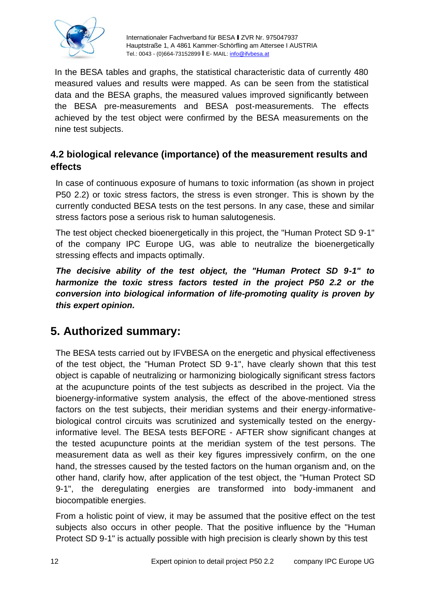

In the BESA tables and graphs, the statistical characteristic data of currently 480 measured values and results were mapped. As can be seen from the statistical data and the BESA graphs, the measured values improved significantly between the BESA pre-measurements and BESA post-measurements. The effects achieved by the test object were confirmed by the BESA measurements on the nine test subjects.

#### **4.2 biological relevance (importance) of the measurement results and effects**

In case of continuous exposure of humans to toxic information (as shown in project P50 2.2) or toxic stress factors, the stress is even stronger. This is shown by the currently conducted BESA tests on the test persons. In any case, these and similar stress factors pose a serious risk to human salutogenesis.

The test object checked bioenergetically in this project, the "Human Protect SD 9-1" of the company IPC Europe UG, was able to neutralize the bioenergetically stressing effects and impacts optimally.

*The decisive ability of the test object, the "Human Protect SD 9-1" to harmonize the toxic stress factors tested in the project P50 2.2 or the conversion into biological information of life-promoting quality is proven by this expert opinion.*

# **5. Authorized summary:**

The BESA tests carried out by IFVBESA on the energetic and physical effectiveness of the test object, the "Human Protect SD 9-1", have clearly shown that this test object is capable of neutralizing or harmonizing biologically significant stress factors at the acupuncture points of the test subjects as described in the project. Via the bioenergy-informative system analysis, the effect of the above-mentioned stress factors on the test subjects, their meridian systems and their energy-informativebiological control circuits was scrutinized and systemically tested on the energyinformative level. The BESA tests BEFORE - AFTER show significant changes at the tested acupuncture points at the meridian system of the test persons. The measurement data as well as their key figures impressively confirm, on the one hand, the stresses caused by the tested factors on the human organism and, on the other hand, clarify how, after application of the test object, the "Human Protect SD 9-1", the deregulating energies are transformed into body-immanent and biocompatible energies.

From a holistic point of view, it may be assumed that the positive effect on the test subjects also occurs in other people. That the positive influence by the "Human Protect SD 9-1" is actually possible with high precision is clearly shown by this test